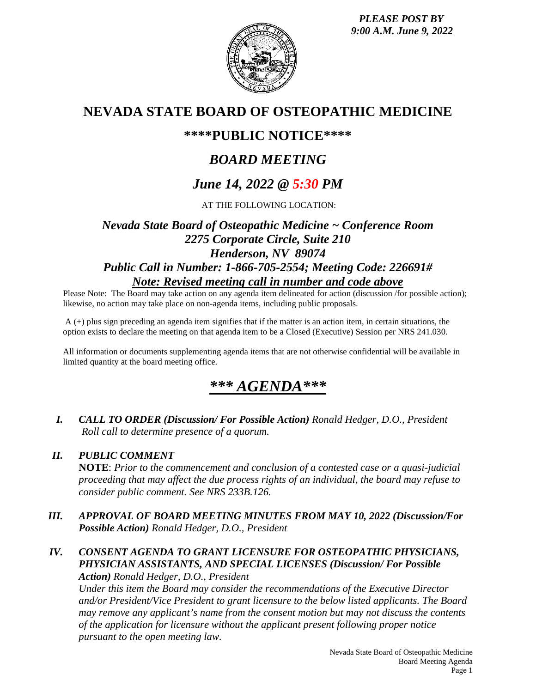*PLEASE POST BY 9:00 A.M. June 9, 2022*



## **NEVADA STATE BOARD OF OSTEOPATHIC MEDICINE**

## **\*\*\*\*PUBLIC NOTICE\*\*\*\***

# *BOARD MEETING*

# *June 14, 2022 @ 5:30 PM*

AT THE FOLLOWING LOCATION:

## *Nevada State Board of Osteopathic Medicine ~ Conference Room 2275 Corporate Circle, Suite 210 Henderson, NV 89074 Public Call in Number: 1-866-705-2554; Meeting Code: 226691# Note: Revised meeting call in number and code above*

Please Note: The Board may take action on any agenda item delineated for action (discussion /for possible action); likewise, no action may take place on non-agenda items, including public proposals.

A (+) plus sign preceding an agenda item signifies that if the matter is an action item, in certain situations, the option exists to declare the meeting on that agenda item to be a Closed (Executive) Session per NRS 241.030.

All information or documents supplementing agenda items that are not otherwise confidential will be available in limited quantity at the board meeting office.

# *\*\*\* AGENDA\*\*\**

*I. CALL TO ORDER (Discussion/ For Possible Action) Ronald Hedger, D.O., President Roll call to determine presence of a quorum.*

### *II. PUBLIC COMMENT*

**NOTE**: *Prior to the commencement and conclusion of a contested case or a quasi-judicial proceeding that may affect the due process rights of an individual, the board may refuse to consider public comment. See NRS 233B.126.*

- *III. APPROVAL OF BOARD MEETING MINUTES FROM MAY 10, 2022 (Discussion/For Possible Action) Ronald Hedger, D.O., President*
- *IV. CONSENT AGENDA TO GRANT LICENSURE FOR OSTEOPATHIC PHYSICIANS, PHYSICIAN ASSISTANTS, AND SPECIAL LICENSES (Discussion/ For Possible Action) Ronald Hedger, D.O., President*

*Under this item the Board may consider the recommendations of the Executive Director and/or President/Vice President to grant licensure to the below listed applicants. The Board may remove any applicant's name from the consent motion but may not discuss the contents of the application for licensure without the applicant present following proper notice pursuant to the open meeting law.*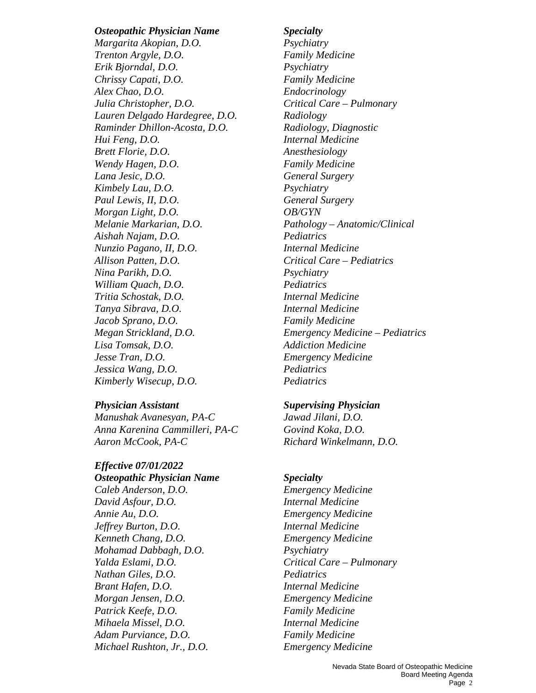### *Osteopathic Physician Name Specialty*

*Margarita Akopian, D.O. Psychiatry Trenton Argyle, D.O. Family Medicine Erik Bjorndal, D.O. Psychiatry Chrissy Capati, D.O. Family Medicine Alex Chao, D.O. Endocrinology Julia Christopher, D.O. Critical Care – Pulmonary Lauren Delgado Hardegree, D.O. Radiology Raminder Dhillon-Acosta, D.O. Radiology, Diagnostic Hui Feng, D.O. Internal Medicine Brett Florie, D.O. Anesthesiology Wendy Hagen, D.O. Family Medicine Lana Jesic, D.O. General Surgery Kimbely Lau, D.O. Psychiatry Paul Lewis, II, D.O. General Surgery Morgan Light, D.O. OB/GYN Melanie Markarian, D.O. Pathology – Anatomic/Clinical Aishah Najam, D.O. Pediatrics Nunzio Pagano, II, D.O. Internal Medicine Allison Patten, D.O. Critical Care – Pediatrics Nina Parikh, D.O. Psychiatry William Quach, D.O. Pediatrics Tritia Schostak, D.O. Internal Medicine Tanya Sibrava, D.O. Internal Medicine Jacob Sprano, D.O. Family Medicine Lisa Tomsak, D.O. Addiction Medicine Jesse Tran, D.O. Emergency Medicine Jessica Wang, D.O. Pediatrics Kimberly Wisecup, D.O. Pediatrics* 

*Manushak Avanesyan, PA-C Jawad Jilani, D.O. Anna Karenina Cammilleri, PA-C Govind Koka, D.O. Aaron McCook, PA-C Richard Winkelmann, D.O.* 

## *Effective 07/01/2022*

*Osteopathic Physician Name Specialty Caleb Anderson, D.O. Emergency Medicine David Asfour, D.O. Internal Medicine Annie Au, D.O. Emergency Medicine Jeffrey Burton, D.O. Internal Medicine Kenneth Chang, D.O. Emergency Medicine Mohamad Dabbagh, D.O. Psychiatry Yalda Eslami, D.O. Critical Care – Pulmonary Nathan Giles, D.O. Pediatrics Brant Hafen, D.O. Internal Medicine Morgan Jensen, D.O. Emergency Medicine Patrick Keefe, D.O. Family Medicine Mihaela Missel, D.O. Internal Medicine Adam Purviance, D.O. Family Medicine Michael Rushton, Jr., D.O. Emergency Medicine*

*Megan Strickland, D.O. Emergency Medicine – Pediatrics* 

### *Physician Assistant Supervising Physician*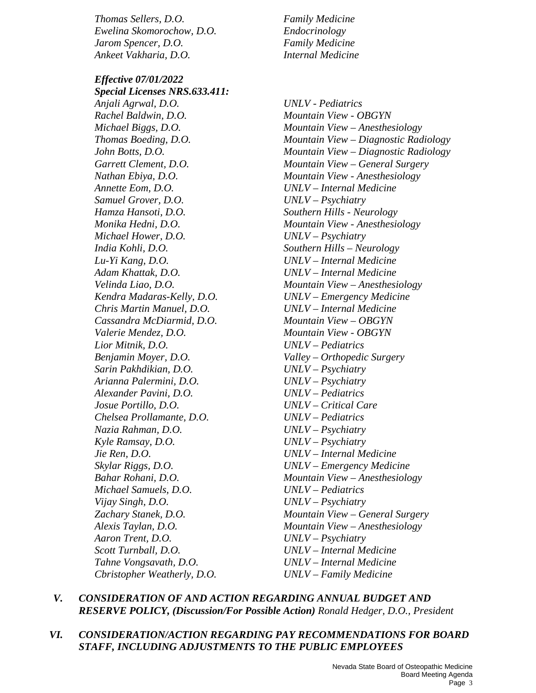*Thomas Sellers, D.O. Family Medicine Ewelina Skomorochow, D.O. Endocrinology Jarom Spencer, D.O. Family Medicine Ankeet Vakharia, D.O. Internal Medicine* 

*Effective 07/01/2022 Special Licenses NRS.633.411: Anjali Agrwal, D.O. UNLV - Pediatrics Rachel Baldwin, D.O. Mountain View - OBGYN Annette Eom, D.O. UNLV – Internal Medicine Samuel Grover, D.O. UNLV – Psychiatry Hamza Hansoti, D.O. Southern Hills - Neurology Michael Hower, D.O. UNLV – Psychiatry India Kohli, D.O. Southern Hills – Neurology Lu-Yi Kang, D.O. UNLV – Internal Medicine Adam Khattak, D.O. UNLV – Internal Medicine Kendra Madaras-Kelly, D.O. UNLV – Emergency Medicine Chris Martin Manuel, D.O. UNLV – Internal Medicine Cassandra McDiarmid, D.O. Mountain View – OBGYN Valerie Mendez, D.O. Mountain View - OBGYN Lior Mitnik, D.O. UNLV – Pediatrics Benjamin Moyer, D.O. Valley – Orthopedic Surgery Sarin Pakhdikian, D.O. UNLV – Psychiatry Arianna Palermini, D.O. UNLV – Psychiatry Alexander Pavini, D.O. UNLV – Pediatrics Josue Portillo, D.O. UNLV – Critical Care Chelsea Prollamante, D.O. UNLV – Pediatrics Nazia Rahman, D.O. UNLV – Psychiatry Kyle Ramsay, D.O. UNLV – Psychiatry Jie Ren, D.O. UNLV – Internal Medicine Skylar Riggs, D.O. UNLV – Emergency Medicine Michael Samuels, D.O. UNLV – Pediatrics Vijay Singh, D.O. UNLV – Psychiatry Aaron Trent, D.O. UNLV – Psychiatry Scott Turnball, D.O. UNLV – Internal Medicine Tahne Vongsavath, D.O. UNLV – Internal Medicine Cbristopher Weatherly, D.O. UNLV – Family Medicine*

*Michael Biggs, D.O. Mountain View – Anesthesiology Thomas Boeding, D.O. Mountain View – Diagnostic Radiology John Botts, D.O. Mountain View – Diagnostic Radiology Garrett Clement, D.O. Mountain View – General Surgery Nathan Ebiya, D.O. Mountain View - Anesthesiology Monika Hedni, D.O. Mountain View - Anesthesiology Velinda Liao, D.O. Mountain View – Anesthesiology Bahar Rohani, D.O. Mountain View – Anesthesiology Zachary Stanek, D.O. Mountain View – General Surgery Alexis Taylan, D.O. Mountain View – Anesthesiology* 

### *V. CONSIDERATION OF AND ACTION REGARDING ANNUAL BUDGET AND RESERVE POLICY, (Discussion/For Possible Action) Ronald Hedger, D.O., President*

### *VI. CONSIDERATION/ACTION REGARDING PAY RECOMMENDATIONS FOR BOARD STAFF, INCLUDING ADJUSTMENTS TO THE PUBLIC EMPLOYEES*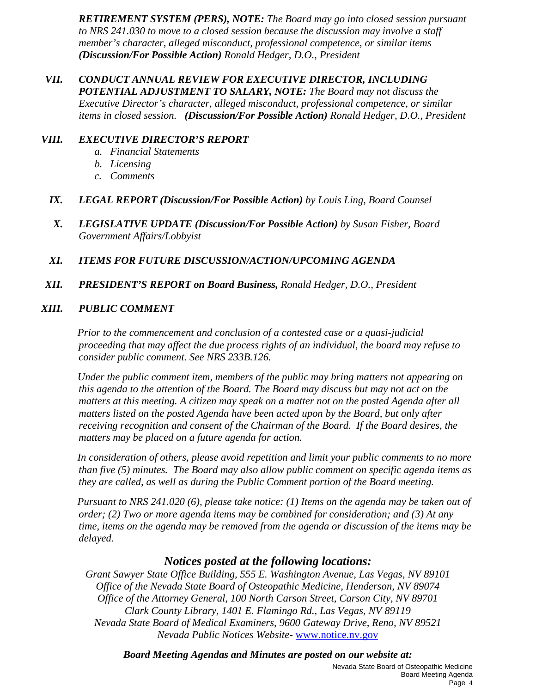*RETIREMENT SYSTEM (PERS), NOTE: The Board may go into closed session pursuant to NRS 241.030 to move to a closed session because the discussion may involve a staff member's character, alleged misconduct, professional competence, or similar items (Discussion/For Possible Action) Ronald Hedger, D.O., President*

*VII. CONDUCT ANNUAL REVIEW FOR EXECUTIVE DIRECTOR, INCLUDING POTENTIAL ADJUSTMENT TO SALARY, NOTE: The Board may not discuss the Executive Director's character, alleged misconduct, professional competence, or similar items in closed session. (Discussion/For Possible Action) Ronald Hedger, D.O., President*

### *VIII. EXECUTIVE DIRECTOR'S REPORT*

- *a. Financial Statements*
- *b. Licensing*
- *c. Comments*
- *IX. LEGAL REPORT (Discussion/For Possible Action) by Louis Ling, Board Counsel*
- *X. LEGISLATIVE UPDATE (Discussion/For Possible Action) by Susan Fisher, Board Government Affairs/Lobbyist*
- *XI. ITEMS FOR FUTURE DISCUSSION/ACTION/UPCOMING AGENDA*
- *XII. PRESIDENT'S REPORT on Board Business, Ronald Hedger, D.O., President*

### *XIII. PUBLIC COMMENT*

*Prior to the commencement and conclusion of a contested case or a quasi-judicial proceeding that may affect the due process rights of an individual, the board may refuse to consider public comment. See NRS 233B.126.*

*Under the public comment item, members of the public may bring matters not appearing on this agenda to the attention of the Board. The Board may discuss but may not act on the matters at this meeting. A citizen may speak on a matter not on the posted Agenda after all matters listed on the posted Agenda have been acted upon by the Board, but only after receiving recognition and consent of the Chairman of the Board. If the Board desires, the matters may be placed on a future agenda for action.*

*In consideration of others, please avoid repetition and limit your public comments to no more than five (5) minutes. The Board may also allow public comment on specific agenda items as they are called, as well as during the Public Comment portion of the Board meeting.* 

*Pursuant to NRS 241.020 (6), please take notice: (1) Items on the agenda may be taken out of order; (2) Two or more agenda items may be combined for consideration; and (3) At any time, items on the agenda may be removed from the agenda or discussion of the items may be delayed.*

### *Notices posted at the following locations:*

*Grant Sawyer State Office Building, 555 E. Washington Avenue, Las Vegas, NV 89101 Office of the Nevada State Board of Osteopathic Medicine, Henderson, NV 89074 Office of the Attorney General, 100 North Carson Street, Carson City, NV 89701 Clark County Library, 1401 E. Flamingo Rd., Las Vegas, NV 89119 Nevada State Board of Medical Examiners, 9600 Gateway Drive, Reno, NV 89521 Nevada Public Notices Website-* [www.notice.nv.gov](http://www.notice.nv.gov/)

*Board Meeting Agendas and Minutes are posted on our website at:*